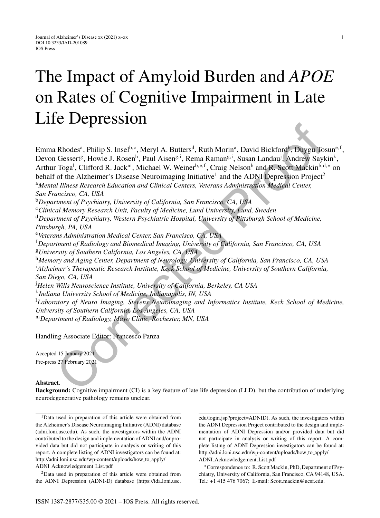# The Impact of Amyloid Burden and *APOE* on Rates of Cognitive Impairment in Late Life Depression

Emma Rhodes<sup>a</sup>, Philip S. Insel<sup>b,c</sup>, Meryl A. Butters<sup>d</sup>, Ruth Morin<sup>a</sup>, David Bickford<sup>b</sup>, Duygu Tosun<sup>e, f</sup>, Devon Gessert<sup>g</sup>, Howie J. Rosen<sup>h</sup>, Paul Aisen<sup>g,i</sup>, Rema Raman<sup>g,i</sup>, Susan Landau<sup>j</sup>, Andrew Saykin<sup>k</sup>, Arthur Toga<sup>l</sup>, Clifford R. Jack<sup>m</sup>, Michael W. Weiner<sup>b,e,f</sup>, Craig Nelson<sup>b</sup> and R. Scott Mackin<sup>b,d,\*</sup> on behalf of the Alzheimer's Disease Neuroimaging Initiative<sup>1</sup> and the ADNI Depression Project<sup>2</sup> <sup>a</sup>*Mental Illness Research Education and Clinical Centers, Veterans Administration Medical Center, San Francisco, CA, USA* <sup>b</sup>*Department of Psychiatry, University of California, San Francisco, CA, USA* <sup>c</sup>*Clinical Memory Research Unit, Faculty of Medicine, Lund University, Lund, Sweden* <sup>d</sup>*Department of Psychiatry, Western Psychiatric Hospital, University of Pittsburgh School of Medicine, Pittsburgh, PA, USA* <sup>e</sup>*Veterans Administration Medical Center, San Francisco, CA, USA* <sup>f</sup>*Department of Radiology and Biomedical Imaging, University of California, San Francisco, CA, USA* <sup>g</sup>*University of Southern California, Los Angeles, CA, USA* <sup>h</sup>*Memory and Aging Center, Department of Neurology, University of California, San Francisco, CA, USA* i *Alzheimer's Therapeutic Research Institute, Keck School of Medicine, University of Southern California, San Diego, CA, USA* j *Helen Wills Neuroscience Institute, University of California, Berkeley, CA USA* <sup>k</sup>*Indiana University School of Medicine, Indianapolis, IN, USA* l *Laboratory of Neuro Imaging, Stevens Neuroimaging and Informatics Institute, Keck School of Medicine, University of Southern California, Los Angeles, CA, USA* <sup>m</sup>*Department of Radiology, Mayo Clinic, Rochester, MN, USA* Corrected Provides: New York 2001<br>
Rhodes<sup>a</sup>, Philip S. Insel<sup>b,e</sup>, Meryl A. Butters<sup>d</sup>, Ruth Morin<sup>a</sup>, David Bickford<sup>b</sup>, Duygu To<br>
Gessert<sup>g</sup>, Houvie J. Rossen<sup>b,</sup>, Paul Aisen<sup>g,1</sup>, Rema Raman<sup>g,1</sup>, Susan Landau<sup>1</sup>, Andr

Handling Associate Editor: Francesco Panza

Accepted 15 January 2021

Pre-press 27 February 2021

#### **Abstract**.

**Background:** Cognitive impairment (CI) is a key feature of late life depression (LLD), but the contribution of underlying neurodegenerative pathology remains unclear.

1Data used in preparation of this article were obtained from the Alzheimer's Disease Neuroimaging Initiative (ADNI) database (adni.loni.usc.edu). As such, the investigators within the ADNI contributed to the design and implementation of ADNI and/or provided data but did not participate in analysis or writing of this report. A complete listing of ADNI investigators can be found at: [http://adni.loni.usc.edu/wp-content/uploads/how](http://adni.loni.usc.edu/wp-content/uploads/how_to_apply/ADNI_Acknowledgement_List.pdf) to apply/

ADNI Acknowledgement List.pdf

2Data used in preparation of this article were obtained from the ADNI Depression (ADNI-D) database (https://ida.loni.usc. edu/login.jsp?project=ADNID). As such, the investigators within the ADNI Depression Project contributed to the design and implementation of ADNI Depression and/or provided data but did not participate in analysis or writing of this report. A complete listing of ADNI Depression investigators can be found at: [http://adni.loni.usc.edu/wp-content/uploads/how](http://adni.loni.usc.edu/wp-content/uploads/how_to_apply/ADNI_Acknowledgement_List.pdf) to apply/ ADNI Acknowledgement List.pdf

∗Correspondence to: R. Scott Mackin, PhD, Department of Psychiatry, University of California, San Francisco, CA 94148, USA. Tel.: +1 415 476 7067; E-mail: [Scott.mackin@ucsf.edu](mailto:Scott.mackin@ucsf.edu).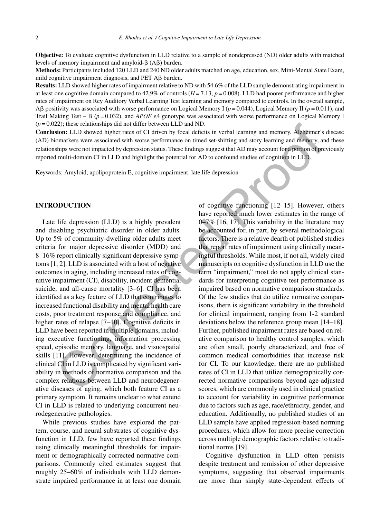**Objective:** To evaluate cognitive dysfunction in LLD relative to a sample of nondepressed (ND) older adults with matched levels of memory impairment and amyloid- $\beta$  (A $\beta$ ) burden.

**Methods:** Participants included 120 LLD and 240 ND older adults matched on age, education, sex, Mini-Mental State Exam, mild cognitive impairment diagnosis, and  $PET$   $A\beta$  burden.

**Results:** LLD showed higher rates of impairment relative to ND with 54.6% of the LLD sample demonstrating impairment in at least one cognitive domain compared to 42.9% of controls  $(H = 7.13, p = 0.008)$ . LLD had poorer performance and higher rates of impairment on Rey Auditory Verbal Learning Test learning and memory compared to controls. In the overall sample, A $\beta$  positivity was associated with worse performance on Logical Memory I ( $p = 0.044$ ), Logical Memory II ( $p = 0.011$ ), and Trail Making Test – B ( $p = 0.032$ ), and *APOE*  $\varepsilon$ 4 genotype was associated with worse performance on Logical Memory I  $(p = 0.022)$ ; these relationships did not differ between LLD and ND.

**Conclusion:** LLD showed higher rates of CI driven by focal deficits in verbal learning and memory. Alzheimer's disease (AD) biomarkers were associated with worse performance on timed set-shifting and story learning and memory, and these relationships were not impacted by depression status. These findings suggest that AD may account for a portion of previously reported multi-domain CI in LLD and highlight the potential for AD to confound studies of cognition in LLD.

Keywords: Amyloid, apolipoprotein E, cognitive impairment, late life depression

#### **INTRODUCTION**

Late life depression (LLD) is a highly prevalent and disabling psychiatric disorder in older adults. Up to 5% of community-dwelling older adults meet criteria for major depressive disorder (MDD) and 8–16% report clinically significant depressive symptoms [1, 2]. LLD is associated with a host of negative outcomes in aging, including increased rates of cognitive impairment (CI), disability, incident dementia, suicide, and all-cause mortality [3–6]. CI has been identified as a key feature of LLD that contributes to increased functional disability and mental health care costs, poor treatment response and compliance, and higher rates of relapse [7–10]. Cognitive deficits in LLD have been reported in multiple domains, including executive functioning, information processing speed, episodic memory, language, and visuospatial skills [11]. However, determining the incidence of clinical CI in LLD is complicated by significant variability in methods of normative comparison and the complex relations between LLD and neurodegenerative diseases of aging, which both feature CI as a primary symptom. It remains unclear to what extend CI in LLD is related to underlying concurrent neurodegenerative pathologies.

While previous studies have explored the pattern, course, and neural substrates of cognitive dysfunction in LLD, few have reported these findings using clinically meaningful thresholds for impairment or demographically corrected normative comparisons. Commonly cited estimates suggest that roughly 25–60% of individuals with LLD demonstrate impaired performance in at least one domain

of cognitive functioning [12–15]. However, others have reported much lower estimates in the range of 0–7% [16, 17]. This variability in the literature may be accounted for, in part, by several methodological factors. There is a relative dearth of published studies that report rates of impairment using clinically meaningful thresholds. While most, if not all, widely cited manuscripts on cognitive dysfunction in LLD use the term "impairment," most do not apply clinical standards for interpreting cognitive test performance as impaired based on normative comparison standards. Of the few studies that do utilize normative comparisons, there is significant variability in the threshold for clinical impairment, ranging from 1-2 standard deviations below the reference group mean [14–18]. Further, published impairment rates are based on relative comparison to healthy control samples, which are often small, poorly characterized, and free of common medical comorbidities that increase risk for CI. To our knowledge, there are no published rates of CI in LLD that utilize demographically corrected normative comparisons beyond age-adjusted scores, which are commonly used in clinical practice to account for variability in cognitive performance due to factors such as age, race/ethnicity, gender, and education. Additionally, no published studies of an LLD sample have applied regression-based norming procedures, which allow for more precise correction across multiple demographic factors relative to traditional norms [19]. 22); these relationships distriffe between LLD and ND.<br>
These relationships distriffe between the method for the case of the case of Cl driven by focal deficits in verbal beaming and memory. Arguments<br>
ships were red impa

> Cognitive dysfunction in LLD often persists despite treatment and remission of other depressive symptoms, suggesting that observed impairments are more than simply state-dependent effects of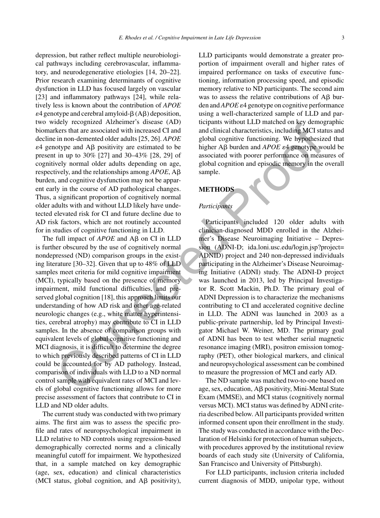depression, but rather reflect multiple neurobiological pathways including cerebrovascular, inflammatory, and neurodegenerative etiologies [14, 20–22]. Prior research examining determinants of cognitive dysfunction in LLD has focused largely on vascular [23] and inflammatory pathways [24], while relatively less is known about the contribution of *APOE*  $\varepsilon$ 4 genotype and cerebral amyloid- $\beta$  (A $\beta$ ) deposition, two widely recognized Alzheimer's disease (AD) biomarkers that are associated with increased CI and decline in non-demented older adults [25, 26]. *APOE*  $\varepsilon$ 4 genotype and A $\beta$  positivity are estimated to be present in up to 30% [27] and 30–43% [28, 29] of cognitively normal older adults depending on age, respectively, and the relationships among  $APOE$ ,  $\mathsf{AB}$ burden, and cognitive dysfunction may not be apparent early in the course of AD pathological changes. Thus, a significant proportion of cognitively normal older adults with and without LLD likely have undetected elevated risk for CI and future decline due to AD risk factors, which are not routinely accounted for in studies of cognitive functioning in LLD.

The full impact of  $APOE$  and  $A\beta$  on CI in LLD is further obscured by the use of cognitively normal nondepressed (ND) comparison groups in the existing literature [30–32]. Given that up to 48% of LLD samples meet criteria for mild cognitive impairment (MCI), typically based on the presence of memory impairment, mild functional difficulties, and preserved global cognition [18], this approach limits our understanding of how AD risk and other age-related neurologic changes (e.g., white matter hyperintensities, cerebral atrophy) may contribute to CI in LLD samples. In the absence of comparison groups with equivalent levels of global cognitive functioning and MCI diagnosis, it is difficult to determine the degree to which previously described patterns of CI in LLD could be accounted for by AD pathology. Instead, comparison of individuals with LLD to a ND normal control sample with equivalent rates of MCI and levels of global cognitive functioning allows for more precise assessment of factors that contribute to CI in LLD and ND older adults. dealy recognized NAPICIBMENT solitics, and diriculated that the same of they denote<br>have the strest had ter associated with increased CL and and chinical characteristics, including MCI states and in one denoted older addit

The current study was conducted with two primary aims. The first aim was to assess the specific profile and rates of neuropsychological impairment in LLD relative to ND controls using regression-based demographically corrected norms and a clinically meaningful cutoff for impairment. We hypothesized that, in a sample matched on key demographic (age, sex, education) and clinical characteristics (MCI status, global cognition, and  $\mathsf{A}\mathsf{B}$  positivity),

LLD participants would demonstrate a greater proportion of impairment overall and higher rates of impaired performance on tasks of executive functioning, information processing speed, and episodic memory relative to ND participants. The second aim was to assess the relative contributions of  $A\beta$  burden and *APOE* ε4 genotype on cognitive performance using a well-characterized sample of LLD and participants without LLD matched on key demographic and clinical characteristics, including MCI status and global cognitive functioning. We hypothesized that higher  $\text{A}\beta$  burden and  $\text{APOE}$   $\epsilon$ 4 genotype would be associated with poorer performance on measures of global cognition and episodic memory in the overall sample.

## **METHODS**

## *Participants*

Participants included 120 older adults with clinician-diagnosed MDD enrolled in the Alzheimer's Disease Neuroimaging Initiative – Depression (ADNI-D; ida.loni.usc.edu/login.jsp?project= ADNID) project and 240 non-depressed individuals participating in the Alzheimer's Disease Neuroimaging Initiative (ADNI) study. The ADNI-D project was launched in 2013, led by Principal Investigator R. Scott Mackin, Ph.D. The primary goal of ADNI Depression is to characterize the mechanisms contributing to CI and accelerated cognitive decline in LLD. The ADNI was launched in 2003 as a public-private partnership, led by Principal Investigator Michael W. Weiner, MD. The primary goal of ADNI has been to test whether serial magnetic resonance imaging (MRI), positron emission tomography (PET), other biological markers, and clinical and neuropsychological assessment can be combined to measure the progression of MCI and early AD.

The ND sample was matched two-to-one based on age, sex, education, Aß positivity, Mini-Mental State Exam (MMSE), and MCI status (cognitively normal versus MCI). MCI status was defined by ADNI criteria described below. All participants provided written informed consent upon their enrollment in the study. The study was conducted in accordance with the Declaration of Helsinki for protection of human subjects, with procedures approved by the institutional review boards of each study site (University of California, San Francisco and University of Pittsburgh).

For LLD participants, inclusion criteria included current diagnosis of MDD, unipolar type, without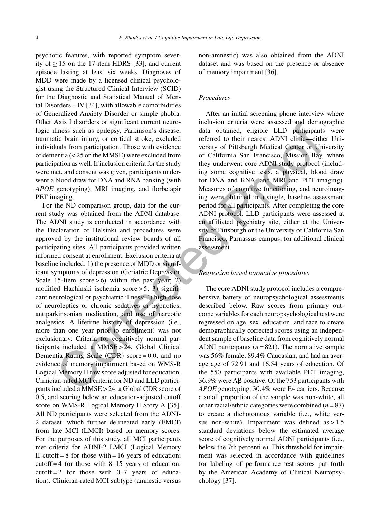psychotic features, with reported symptom severity of  $\geq$  15 on the 17-item HDRS [33], and current episode lasting at least six weeks. Diagnoses of MDD were made by a licensed clinical psychologist using the Structured Clinical Interview (SCID) for the Diagnostic and Statistical Manual of Mental Disorders – IV [34], with allowable comorbidities of Generalized Anxiety Disorder or simple phobia. Other Axis I disorders or significant current neurologic illness such as epilepsy, Parkinson's disease, traumatic brain injury, or cortical stroke, excluded individuals from participation. Those with evidence of dementia (< 25 on the MMSE) were excluded from participation as well. If inclusion criteria for the study were met, and consent was given, participants underwent a blood draw for DNA and RNA banking (with *APOE* genotyping), MRI imaging, and florbetapir PET imaging.

For the ND comparison group, data for the current study was obtained from the ADNI database. The ADNI study is conducted in accordance with the Declaration of Helsinki and procedures were approved by the institutional review boards of all participating sites. All participants provided written informed consent at enrollment. Exclusion criteria at baseline included: 1) the presence of MDD or significant symptoms of depression (Geriatric Depression Scale 15-Item score  $> 6$ ) within the past year; 2) modified Hachinski ischemia score > 5; 3) significant neurological or psychiatric illness; 4) high dose of neuroleptics or chronic sedatives or hypnotics, antiparkinsonian medication, and use of narcotic analgesics. A lifetime history of depression (i.e., more than one year prior to enrollment) was not exclusionary. Criteria for cognitively normal participants included a MMSE > 24, Global Clinical Dementia Rating Scale (CDR) score = 0.0, and no evidence of memory impairment based on WMS-R Logical Memory II raw score adjusted for education. Clinician-rated MCI criteria for ND and LLD participants included a MMSE > 24, a Global CDR score of 0.5, and scoring below an education-adjusted cutoff score on WMS-R Logical Memory II Story A [35]. All ND participants were selected from the ADNI-2 dataset, which further delineated early (EMCI) from late MCI (LMCI) based on memory scores. For the purposes of this study, all MCI participants met criteria for ADNI-2 LMCI (Logical Memory II cutoff =  $8$  for those with =  $16$  years of education; cutoff  $= 4$  for those with  $8-15$  years of education; cutoff  $= 2$  for those with 0–7 years of education). Clinician-rated MCI subtype (amnestic versus ANIS ansoness or signing the corrected methanic of the methanom content were assessed and energy per<br>kinson's discuse, data obtained, digitale LLD participants<br>the buses such as opticipay, Parkinson's discuse, control and

non-amnestic) was also obtained from the ADNI dataset and was based on the presence or absence of memory impairment [36].

#### *Procedures*

After an initial screening phone interview where inclusion criteria were assessed and demographic data obtained, eligible LLD participants were referred to their nearest ADNI clinic—either University of Pittsburgh Medical Center or University of California San Francisco, Mission Bay, where they underwent core ADNI study protocol (including some cognitive tests, a physical, blood draw for DNA and RNA, and MRI and PET imaging). Measures of cognitive functioning, and neuroimaging were obtained in a single, baseline assessment period for all participants. After completing the core ADNI protocol, LLD participants were assessed at an affiliated psychiatry site, either at the University of Pittsburgh or the University of California San Francisco, Parnassus campus, for additional clinical assessment.

#### *Regression based normative procedures*

The core ADNI study protocol includes a comprehensive battery of neuropsychological assessments described below. Raw scores from primary outcome variables for each neuropsychological test were regressed on age, sex, education, and race to create demographically corrected scores using an independent sample of baseline data from cognitively normal ADNI participants  $(n = 821)$ . The normative sample was 56% female, 89.4% Caucasian, and had an average age of 72.91 and 16.54 years of education. Of the 550 participants with available PET imaging,  $36.9\%$  were A $\beta$  positive. Of the 753 participants with *APOE* genotyping, 30.4% were E4 carriers. Because a small proportion of the sample was non-white, all other racial/ethnic categories were combined  $(n = 87)$ to create a dichotomous variable (i.e., white versus non-white). Impairment was defined as  $> 1.5$ standard deviations below the estimated average score of cognitively normal ADNI participants (i.e., below the 7th percentile). This threshold for impairment was selected in accordance with guidelines for labeling of performance test scores put forth by the American Academy of Clinical Neuropsychology [37].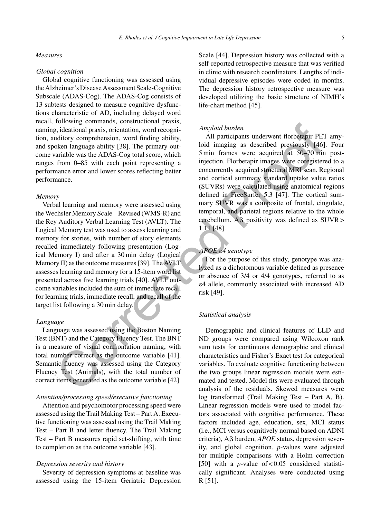#### *Measures*

#### *Global cognition*

Global cognitive functioning was assessed using the Alzheimer's Disease Assessment Scale-Cognitive Subscale (ADAS-Cog). The ADAS-Cog consists of 13 subtests designed to measure cognitive dysfunctions characteristic of AD, including delayed word recall, following commands, constructional praxis, naming, ideational praxis, orientation, word recognition, auditory comprehension, word finding ability, and spoken language ability [38]. The primary outcome variable was the ADAS-Cog total score, which ranges from 0–85 with each point representing a performance error and lower scores reflecting better performance.

#### *Memory*

Verbal learning and memory were assessed using the Wechsler Memory Scale – Revised (WMS-R) and the Rey Auditory Verbal Learning Test (AVLT). The Logical Memory test was used to assess learning and memory for stories, with number of story elements recalled immediately following presentation (Logical Memory I) and after a 30 min delay (Logical Memory II) as the outcome measures [39]. The AVLT assesses learning and memory for a 15-item word list presented across five learning trials [40]. AVLT outcome variables included the sum of immediate recall for learning trials, immediate recall, and recall of the target list following a 30 min delay. convolg communicals, constantioning matrix,  $\mu$  and particle intervent from the comparison in the correct and the principle and the correct and the ADAS-Cog total score, which and imaging as described previously [46] and

## *Language*

Language was assessed using the Boston Naming Test (BNT) and the Category Fluency Test. The BNT is a measure of visual confrontation naming, with total number correct as the outcome variable [41]. Semantic fluency was assessed using the Category Fluency Test (Animals), with the total number of correct items generated as the outcome variable [42].

#### *Attention/processing speed/executive functioning*

Attention and psychomotor processing speed were assessed using the Trail Making Test – Part A. Executive functioning was assessed using the Trail Making Test – Part B and letter fluency. The Trail Making Test – Part B measures rapid set-shifting, with time to completion as the outcome variable [43].

#### *Depression severity and history*

Severity of depression symptoms at baseline was assessed using the 15-item Geriatric Depression Scale [44]. Depression history was collected with a self-reported retrospective measure that was verified in clinic with research coordinators. Lengths of individual depressive episodes were coded in months. The depression history retrospective measure was developed utilizing the basic structure of NIMH's life-chart method [45].

## *Amyloid burden*

All participants underwent florbetapir PET amyloid imaging as described previously [46]. Four 5 min frames were acquired at 50–70 min postinjection. Florbetapir images were coregistered to a concurrently acquired structural MRI scan. Regional and cortical summary standard uptake value ratios (SUVRs) were calculated using anatomical regions defined in FreeSurfer 5.3 [47]. The cortical summary SUVR was a composite of frontal, cingulate, temporal, and parietal regions relative to the whole cerebellum.  $\overrightarrow{AB}$  positivity was defined as SUVR > 1.11 [48].

#### *APOE 4 genotype*

For the purpose of this study, genotype was analyzed as a dichotomous variable defined as presence or absence of 3/4 or 4/4 genotypes, referred to as 4 allele, commonly associated with increased AD risk [49].

#### *Statistical analysis*

Demographic and clinical features of LLD and ND groups were compared using Wilcoxon rank sum tests for continuous demographic and clinical characteristics and Fisher's Exact test for categorical variables. To evaluate cognitive functioning between the two groups linear regression models were estimated and tested. Model fits were evaluated through analysis of the residuals. Skewed measures were log transformed (Trail Making Test – Part A, B). Linear regression models were used to model factors associated with cognitive performance. These factors included age, education, sex, MCI status (i.e., MCI versus cognitively normal based on ADNI criteria), Aβ burden, *APOE* status, depression severity, and global cognition. *p*-values were adjusted for multiple comparisons with a Holm correction [50] with a *p*-value of < 0.05 considered statistically significant. Analyses were conducted using R [51].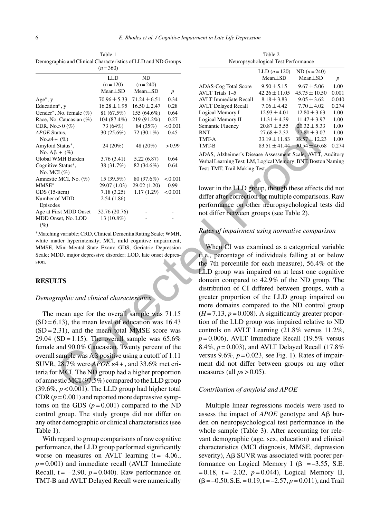Table 1 Demographic and Clinical Characteristics of LLD and ND Groups  $(n=360)$ 

|                                   | <b>LLD</b>       | ND               |                  |
|-----------------------------------|------------------|------------------|------------------|
|                                   | $(n = 120)$      | $(n = 240)$      |                  |
|                                   | $Mean \pm SD$    | $Mean \pm SD$    | $\boldsymbol{p}$ |
| $Age^*$ , y                       | $70.96 \pm 5.33$ | $71.24 \pm 6.51$ | 0.34             |
| Education*, y                     | $16.28 \pm 1.95$ | $16.50 \pm 2.47$ | 0.28             |
| Gender*, No. female (%)           | 81 (67.5%)       | 155 (64.6%)      | 0.64             |
| Race, No. Caucasian (%)           | 104 (87.4%)      | 219 (91.2%)      | 0.27             |
| CDR, No. $> 0$ (%)                | 73 (64%)         | 84 (35%)         | < 0.001          |
| APOE Status,                      | 30(25.6%)        | 72 (30.1%)       | 0.45             |
| $No. \varepsilon 4 + (\%)$        |                  |                  |                  |
| Amyloid Status*,                  | 24 (20%)         | 48 (20%)         | > 0.99           |
| No. $\mathbf{A}\mathbf{B} + (\%)$ |                  |                  |                  |
| Global WMH Burden                 | 3.76(3.41)       | 5.22(6.87)       | 0.64             |
| Cognitive Status*,                | 38 (31.7%)       | 82 (34.6%)       | 0.64             |
| No. MCI $(\% )$                   |                  |                  |                  |
| Amnestic MCI, No. (%)             | 15 (39.5%)       | 80 (97.6%)       | < 0.001          |
| $MMSE^*$                          | 29.07 (1.03)     | 29.02 (1.20)     | 0.99             |
| $GDS(15\text{-item})$             | 7.18(3.25)       | 1.17(1.29)       | < 0.001          |
| Number of MDD<br>Episodes         | 2.54(1.86)       |                  |                  |
| Age at First MDD Onset            | 32.76 (20.76)    |                  |                  |
| MDD Onset, No. LOD<br>$(\%)$      | 13 (10.8%)       |                  |                  |

∗Matching variable; CRD, Clinical Dementia Rating Scale; WMH, white matter hyperintensity; MCI, mild cognitive impairment; MMSE, Mini-Mental State Exam; GDS, Geriatric Depression Scale; MDD, major depressive disorder; LOD, late onset depression.

#### **RESULTS**

#### *Demographic and clinical characteristics*

The mean age for the overall sample was 71.15  $(SD = 6.13)$ , the mean level of education was 16.43  $(SD = 2.31)$ , and the mean total MMSE score was 29.04 (SD = 1.15). The overall sample was  $65.6\%$ female and 90.0% Caucasian. Twenty percent of the overall sample was  $\text{A}\beta$  positive using a cutoff of 1.11 SUVR,  $28.7\%$  were *APOE*  $\varepsilon$ 4 +, and 33.6% met criteria for MCI. The ND group had a higher proportion of amnestic MCI (97.5%) compared to the LLD group  $(39.6\%, p < 0.001)$ . The LLD group had higher total CDR  $(p = 0.001)$  and reported more depressive symptoms on the GDS  $(p=0.001)$  compared to the ND control group. The study groups did not differ on any other demographic or clinical characteristics (see Table 1).

With regard to group comparisons of raw cognitive performance, the LLD group performed significantly worse on measures on AVLT learning  $(t = -4.06)$ ,  $p = 0.001$ ) and immediate recall (AVLT Immediate Recall,  $t = -2.90$ ,  $p = 0.040$ ). Raw performance on TMT-B and AVLT Delayed Recall were numerically

Table 2 Neuropsychological Test Performance

| LLD $(n = 120)$<br>$Mean \pm SD$ | $ND (n = 240)$<br>$Mean \pm SD$ | p     |
|----------------------------------|---------------------------------|-------|
| $9.50 \pm 5.15$                  | $9.67 \pm 5.06$                 | 1.00  |
| $42.26 \pm 11.05$                | $45.75 \pm 10.50$               | 0.001 |
| $8.18 \pm 3.83$                  | $9.05 + 3.62$                   | 0.040 |
| $7.06 + 4.42$                    | $7.70 \pm 4.02$                 | 0.274 |
| $12.93 \pm 4.01$                 | $12.80 \pm 3.63$                | 1.00  |
| $11.31 \pm 4.39$                 | $11.47 \pm 3.97$                | 1.00  |
| $20.87 + 5.55$                   | $20.32 + 5.33$                  | 1.00  |
| $27.68 \pm 2.32$                 | $27.81 \pm 3.07$                | 1.00  |
| $33.19 \pm 11.83$                | $33.57 \pm 12.23$               | 1.00  |
| $83.51 + 41.44$                  | $90.54 \pm 46.68$               | 0.274 |
|                                  |                                 |       |

ADAS, Alzheimer's Disease Assessment Scale; AVLT, Auditory Verbal Learning Test; LM, Logical Memory; BNT, Boston Naming Test; TMT, Trail Making Test.

lower in the LLD group, though these effects did not differ after correction for multiple comparisons. Raw performance on other neuropsychological tests did not differ between groups (see Table 2).

### *Rates of impairment using normative comparison*

When CI was examined as a categorical variable (i.e., percentage of individuals falling at or below the 7th percentile for each measure), 56.4% of the LLD group was impaired on at least one cognitive domain compared to 42.9% of the ND group. The distribution of CI differed between groups, with a greater proportion of the LLD group impaired on more domains compared to the ND control group  $(H = 7.13, p = 0.008)$ . A significantly greater proportion of the LLD group was impaired relative to ND controls on AVLT Learning (21.8% versus 11.2%,  $p = 0.006$ ), AVLT Immediate Recall (19.5% versus 8.4%, *p* = 0.003), and AVLT Delayed Recall (17.8% versus 9.6%,  $p = 0.023$ , see Fig. 1). Rates of impairment did not differ between groups on any other measures (all *p*s > 0.05). 25.0 (1%)<br>
(15.2 (645.7) and (35.4 (641)<br>
(16.8 (17.2 (645.7) contains Plusch and ART 27.68 +2.32 (2013 + 3.76<br>
(16.8 (17.1%) 48.2 (2018) 20.2 + 3.3 (17.1%) 11.1%<br>
(17.8 (17.1%) 48.2 (18.8 (17.1%) 48.2 (18.8 (17.1%) 40.8

#### *Contribution of amyloid and APOE*

Multiple linear regressions models were used to assess the impact of  $APOE$  genotype and  $A\beta$  burden on neuropsychological test performance in the whole sample (Table 3). After accounting for relevant demographic (age, sex, education) and clinical characteristics (MCI diagnosis, MMSE, depression severity),  $\overrightarrow{AB}$  SUVR was associated with poorer performance on Logical Memory I ( $\beta$  = -3.55, S.E.  $= 0.18$ ,  $t = -2.02$ ,  $p = 0.044$ ), Logical Memory II,  $(\beta = -0.50, S.E. = 0.19, t = -2.57, p = 0.011)$ , and Trail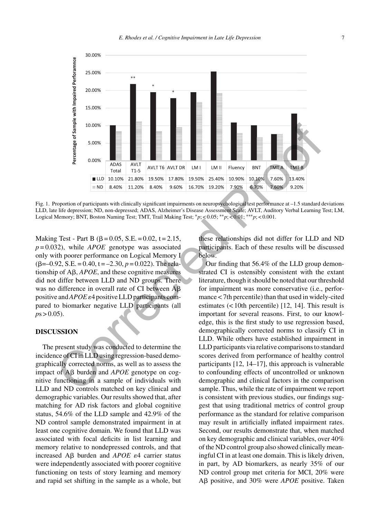

Fig. 1. Proportion of participants with clinically significant impairments on neuropsychological test performance at –1.5 standard deviations LLD, late life depression; ND, non-depressed; ADAS, Alzheimer's Disease Assessment Scale; AVLT, Auditory Verbal Learning Test; LM, Logical Memory; BNT, Boston Naming Test; TMT, Trail Making Test; ∗*p*; < 0.05; ∗∗*p*; < 0.01; ∗∗∗*p*; < 0.001.

Making Test - Part B ( $\beta$  = 0.05, S.E. = 0.02, t = 2.15, *p* = 0.032), while *APOE* genotype was associated only with poorer performance on Logical Memory I  $(\beta=-0.92, S.E. = 0.40, t = -2.30, p = 0.022)$ . The relationship of  $\text{A}\beta$ ,  $\text{APOE}$ , and these cognitive measures did not differ between LLD and ND groups. There was no difference in overall rate of CI between  $A\beta$ positive and  $APOE \varepsilon_4$  positive LLD participants compared to biomarker negative LLD participants (all  $p s > 0.05$ ).

#### **DISCUSSION**

The present study was conducted to determine the incidence of CI in LLD using regression-based demographically corrected norms, as well as to assess the impact of  $\mathbf{A}\boldsymbol{\beta}$  burden and  $APOE$  genotype on cognitive functioning in a sample of individuals with LLD and ND controls matched on key clinical and demographic variables. Our results showed that, after matching for AD risk factors and global cognitive status, 54.6% of the LLD sample and 42.9% of the ND control sample demonstrated impairment in at least one cognitive domain. We found that LLD was associated with focal deficits in list learning and memory relative to nondepressed controls, and that increased  $\text{A}\beta$  burden and  $\text{APOE}$   $\varepsilon$ 4 carrier status were independently associated with poorer cognitive functioning on tests of story learning and memory and rapid set shifting in the sample as a whole, but

these relationships did not differ for LLD and ND participants. Each of these results will be discussed below.

Our finding that 56.4% of the LLD group demonstrated CI is ostensibly consistent with the extant literature, though it should be noted that our threshold for impairment was more conservative (i.e., performance < 7th percentile) than that used in widely-cited estimates (< 10th percentile) [12, 14]. This result is important for several reasons. First, to our knowledge, this is the first study to use regression based, demographically corrected norms to classify CI in LLD. While others have established impairment in LLD participants via relative comparisons to standard scores derived from performance of healthy control participants [12, 14–17], this approach is vulnerable to confounding effects of uncontrolled or unknown demographic and clinical factors in the comparison sample. Thus, while the rate of impairment we report is consistent with previous studies, our findings suggest that using traditional metrics of control group performance as the standard for relative comparison may result in artificially inflated impairment rates. Second, our results demonstrate that, when matched on key demographic and clinical variables, over 40% of the ND control group also showed clinically meaningful CI in at least one domain. This is likely driven, in part, by AD biomarkers, as nearly 35% of our ND control group met criteria for MCI, 20% were Aβ positive, and 30% were *APOE* positive. Taken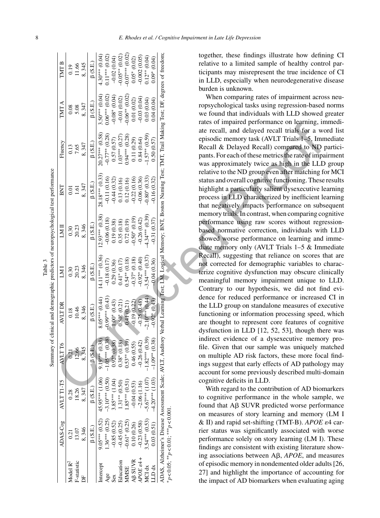|                         |                                                  |                   | Ω                | ummary of clinical and demographic predictors of neuropsychological test performance                                                                                          |                   |                     |                   |                   |                  |                   |
|-------------------------|--------------------------------------------------|-------------------|------------------|-------------------------------------------------------------------------------------------------------------------------------------------------------------------------------|-------------------|---------------------|-------------------|-------------------|------------------|-------------------|
|                         | ADAS-Cog                                         | AVLT T1-T5        | AVLT T6          | <b>AVLT DR</b>                                                                                                                                                                | LMI               | LM II               | BNT               | Fluency           | <b>IMTA</b>      | IMITB             |
| Model R <sup>2</sup>    | 0.21                                             | 0.28              | 0.21             | 0.18                                                                                                                                                                          | 0.30              | 0.30                |                   | 0.13              | 0.08             |                   |
| F-statistic             |                                                  | 18.26             | 12.66            | 10.46                                                                                                                                                                         | 20.23             | 20.23               | ୍ର                | 7.65              | 5.08             | 11.66             |
|                         | 8,346                                            | 8,347             | 8,345            | 8,346                                                                                                                                                                         | 8,346             | 8,346               | 8.347             | 8,347             | 8,347            | 8,345             |
|                         | (3.E.)                                           | (3.5)             | (3.E.)           | (3.E.)                                                                                                                                                                        | $\beta$ (S.E.)    | $\beta$ (S.E.)      | $\beta$ (S.E.)    | $\beta$ (S.E.)    | (3.E.)           | (3.E.)            |
| intercept               | $9.05***$ (0.52)                                 | 45.95*** (1.06)   | 9*** (0.38)      | $8.05***$ (0.44)                                                                                                                                                              | 14.11*** (0.36)   | $12.93***$ $(0.38)$ | $28.18***$ (0.33) | $20.27***$ (0.58) | $3.50***$ (0.04) | $4.30***$ (0.04)  |
| Age                     | $.36***$ (0.25)                                  | $-3.10***$ (0.50) | $1.05***$ (0.38) | $-0.99***$ (0.43)                                                                                                                                                             | $-0.18(0.17)$     | $-0.06(0.18)$       | $-0.11(0.16)$     | $-0.77**$ (0.28)  | $0.06***$ (0.02) | (0.02)<br>$11***$ |
| Sex                     | $-0.85(0.52)$                                    | $.85***(1.04)$    | $.92* (0.38)$    | $1.00^* (0.43)$                                                                                                                                                               | 0.29(0.36)        | 0.19(0.38)          | $-0.44(0.32)$     | 0.57(0.57)        | $-0.08*0.04$     | $-0.02(0.04)$     |
| Education               | $-0.45(0.25)$                                    | $1.31**$ (0.50)   | $.38*(0.18)$     | $0.50^{*}$ $(0.21)$                                                                                                                                                           | $0.41*0.17$       | 0.35(0.18)          | 0.13(0.16)        | $0.03***$ (0.27)  | $-0.01(0.02)$    | $-0.05**$ (0.02)  |
| MMSE                    | $0.61* (0.25)$                                   | $1.85***$ (0.51)  | $0.53**$ (0.19)  | 0.41(0.21)                                                                                                                                                                    | $0.54**$ (0.18)   | 0.72(0.19)          | 0.12(0.16)        | $0.94***$ (0.28)  | $-0.06**00.02$   | $-0.07***$ (0.02  |
| A <sub>B</sub> SUVR     | 10 (0.26)                                        | $-0.04(0.53)$     | .46(0.55)        | $-0.19$ $0.22$                                                                                                                                                                | $-0.37*$ $(0.18)$ | $-0.50*$ $(0.19)$   | $-0.22(0.16)$     | 0.11(0.29)        | 0.01(0.02)       | $0.05*$ $(0.02)$  |
| $APOE$ $\varepsilon$ 4+ | $-0.23(0.58)$                                    | $-2.06(1.16)$     | 0.26 (0.42)      | $-0.75(0.48)$                                                                                                                                                                 | $-0.92*00.40$     | $-0.26(0.42)$       | $-0.06(0.36)$     | 0.84(0.64)        | $-0.03(0.04)$    | $-0.002(0.05)$    |
| MCI dx                  | $3.54***$ (0.53)                                 | $5.67***$ (1.07)  | $82***$ (0.39)   | $-2.10***$ (0.44                                                                                                                                                              | $3.54***$ (0.37)  | $4.34***$ (0.39)    | $0.80* (0.33)$    | $1.57**$ (0.59)   | 0.03(0.04)       | $0.12**$ (0.04)   |
| LD dx                   | 0.03(0.51)                                       | $4.20***$ (1.03)  | $-1.09**$ (0.38) | $-0.92*(0.43)$                                                                                                                                                                | $-0.04(0.36)$     | $-0.31(0.37)$       | 0.16(0.32)        | 0.50(0.57)        | 0.04(0.04)       | $0.09*00.04$      |
|                         |                                                  |                   |                  | ADAS, Alzheimer's Disease Assessment Scale; AVLT, Auditory Verbal Learning Test; LM, Logical Memory; BNT, Boston Naming Test; TMT, Trail Making Test; DF, degrees of freedom: |                   |                     |                   |                   |                  |                   |
|                         | * $p < 0.05$ ; ** $p < 0.01$ ; *** $p < 0.001$ . |                   |                  |                                                                                                                                                                               |                   |                     |                   |                   |                  |                   |

together, these findings illustrate how defining CI relative to a limited sample of healthy control participants may misrepresent the true incidence of CI in LLD, especially when neurodegenerative disease burden is unknown.

When comparing rates of impairment across neuropsychological tasks using regression-based norms we found that individuals with LLD showed greater rates of impaired performance on learning, immediate recall, and delayed recall trials for a word list episodic memory task (AVLT Trials 1–5, Immediate Recall & Delayed Recall) compared to ND participants. For each of these metrics the rate of impairment was approximately twice as high in the LLD group relative to the ND group even after matching for MCI status and overall cognitive functioning. These results highlight a particularly salient dysexecutive learning process in LLD characterized by inefficient learning that negatively impacts performance on subsequent memory trials. In contrast, when comparing cognitive performance using raw scores without regressionbased normative correction, individuals with LLD showed worse performance on learning and immediate memory only (AVLT Trials 1–5 & Immediate Recall), suggesting that reliance on scores that are not corrected for demographic variables to characterize cognitive dysfunction may obscure clinically meaningful memory impairment unique to LLD. Contrary to our hypothesis, we did not find evidence for reduced performance or increased CI in the LLD group on standalone measures of executive functioning or information processing speed, which are thought to represent core features of cognitive dysfunction in LLD [12, 52, 53], though there was indirect evidence of a dysexecutive memory profile. Given that our sample was uniquely matched on multiple AD risk factors, these more focal findings suggest that early effects of AD pathology may account for some previously described multi-domain cognitive deficits in LLD. The metric of the correction in the three of the correction in the correction in the correction in the correction in the correction in the correction in the correction in the correction in the correction in the correction

With regard to the contribution of AD biomarkers to cognitive performance in the whole sample, we found that Aß SUVR predicted worse performance on measures of story learning and memory (LM I & II) and rapid set-shifting (TMT-B). *APOE* ε4 carrier status was significantly associated with worse performance solely on story learning (LM I). These findings are consistent with existing literature showing associations between  $\text{A}\beta$ ,  $\text{APOE}$ , and measures of episodic memory in nondemented older adults [26, 27] and highlight the importance of accounting for the impact of AD biomarkers when evaluating aging

Table 3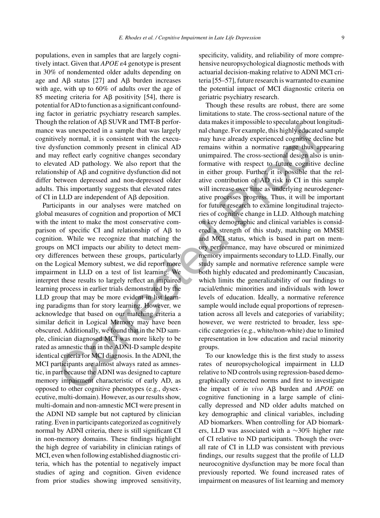populations, even in samples that are largely cognitively intact. Given that  $APOE \varepsilon_4$  genotype is present in 30% of nondemented older adults depending on age and  $\text{A}\beta$  status [27] and  $\text{A}\beta$  burden increases with age, with up to 60% of adults over the age of 85 meeting criteria for  $\mathsf{AB}$  positivity [54], there is potential for AD to function as a significant confounding factor in geriatric psychiatry research samples. Though the relation of  $A\beta$  SUVR and TMT-B performance was unexpected in a sample that was largely cognitively normal, it is consistent with the executive dysfunction commonly present in clinical AD and may reflect early cognitive changes secondary to elevated AD pathology. We also report that the relationship of  $A\beta$  and cognitive dysfunction did not differ between depressed and non-depressed older adults. This importantly suggests that elevated rates of CI in LLD are independent of  $A\beta$  deposition.

Participants in our analyses were matched on global measures of cognition and proportion of MCI with the intent to make the most conservative comparison of specific CI and relationship of  $A\beta$  to cognition. While we recognize that matching the groups on MCI impacts our ability to detect memory differences between these groups, particularly on the Logical Memory subtest, we did report more impairment in LLD on a test of list learning. We interpret these results to largely reflect an impaired learning process in earlier trials demonstrated by the LLD group that may be more evident in list learning paradigms than for story learning. However, we acknowledge that based on our matching criteria a similar deficit in Logical Memory may have been obscured. Additionally, we found that in the ND sample, clinician diagnosed MCI was more likely to be rated as amnestic than in the ADNI-D sample despite identical criteria for MCI diagnosis. In the ADNI, the MCI participants are almost always rated as amnestic, in part because the ADNI was designed to capture memory impairment characteristic of early AD, as opposed to other cognitive phenotypes (e.g., dysexecutive, multi-domain). However, as our results show, multi-domain and non-amnestic MCI were present in the ADNI ND sample but not captured by clinician rating. Even in participants categorized as cognitively normal by ADNI criteria, there is still significant CI in non-memory domains. These findings highlight the high degree of variability in clinician ratings of MCI, even when following established diagnostic criteria, which has the potential to negatively impact studies of aging and cognition. Given evidence from prior studies showing improved sensitivity,

specificity, validity, and reliability of more comprehensive neuropsychological diagnostic methods with actuarial decision-making relative to ADNI MCI criteria [55–57], future research is warranted to examine the potential impact of MCI diagnostic criteria on geriatric psychiatry research.

Though these results are robust, there are some limitations to state. The cross-sectional nature of the data makes it impossible to speculate about longitudinal change. For example, this highly educated sample may have already experienced cognitive decline but remains within a normative range thus appearing unimpaired. The cross-sectional design also is uninformative with respect to future cognitive decline in either group. Further, it is possible that the relative contribution of AD risk to CI in this sample will increase over time as underlying neurodegenerative processes progress. Thus, it will be important for future research to examine longitudinal trajectories of cognitive change in LLD. Although matching on key demographic and clinical variables is considered a strength of this study, matching on MMSE and MCI status, which is based in part on memory performance, may have obscured or minimized memory impairments secondary to LLD. Finally, our study sample and normative reference sample were both highly educated and predominantly Caucasian, which limits the generalizability of our findings to racial/ethnic minorities and individuals with lower levels of education. Ideally, a normative reference sample would include equal proportions of representation across all levels and categories of variability; however, we were restricted to broader, less specific categories (e.g., white/non-white) due to limited representation in low education and racial minority groups. The relations of Ap SOV Ram IVI-B perform.<br>
The mean in the case of the section of Ap Sov Ram IVI-B performance is the source of the synchromomonly present in chinal AD<br>
was uncapced of a sample that was largely and chang

To our knowledge this is the first study to assess rates of neuropsychological impairment in LLD relative to ND controls using regression-based demographically corrected norms and first to investigate the impact of *in vivo*  $\text{A}\beta$  burden and  $APOE$  on cognitive functioning in a large sample of clinically depressed and ND older adults matched on key demographic and clinical variables, including AD biomarkers. When controlling for AD biomarkers, LLD was associated with a ∼30% higher rate of CI relative to ND participants. Though the overall rate of CI in LLD was consistent with previous findings, our results suggest that the profile of LLD neurocognitive dysfunction may be more focal than previously reported. We found increased rates of impairment on measures of list learning and memory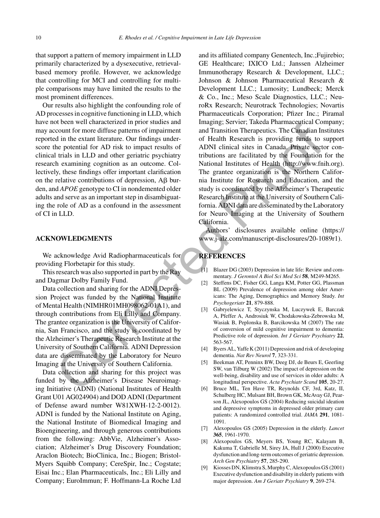that support a pattern of memory impairment in LLD primarily characterized by a dysexecutive, retrievalbased memory profile. However, we acknowledge that controlling for MCI and controlling for multiple comparisons may have limited the results to the most prominent differences.

Our results also highlight the confounding role of AD processes in cognitive functioning in LLD, which have not been well characterized in prior studies and may account for more diffuse patterns of impairment reported in the extant literature. Our findings underscore the potential for AD risk to impact results of clinical trials in LLD and other geriatric psychiatry research examining cognition as an outcome. Collectively, these findings offer important clarification on the relative contributions of depression,  $\overrightarrow{AB}$  burden, and *APOE* genotype to CI in nondemented older adults and serve as an important step in disambiguating the role of AD as a confound in the assessment of CI in LLD.

#### **ACKNOWLEDGMENTS**

We acknowledge Avid Radiopharmaceuticals for providing Florbetapir for this study.

This research was also supported in part by the Ray and Dagmar Dolby Family Fund.

Data collection and sharing for the ADNI Depression Project was funded by the National Institute of Mental Health (NIMHR01MH098062-01A1), and through contributions from Eli Lilly and Company. The grantee organization is the University of California, San Francisco, and the study is coordinated by the Alzheimer's Therapeutic Research Institute at the University of Southern California. ADNI Depression data are disseminated by the Laboratory for Neuro Imaging at the University of Southern California.

Data collection and sharing for this project was funded by the Alzheimer's Disease Neuroimaging Initiative (ADNI) (National Institutes of Health Grant U01 AG024904) and DOD ADNI (Department of Defense award number W81XWH-12-2-0012). ADNI is funded by the National Institute on Aging, the National Institute of Biomedical Imaging and Bioengineering, and through generous contributions from the following: AbbVie, Alzheimer's Association; Alzheimer's Drug Discovery Foundation; Araclon Biotech; BioClinica, Inc.; Biogen; Bristol-Myers Squibb Company; CereSpir, Inc.; Cogstate; Eisai Inc.; Elan Pharmaceuticals, Inc.; Eli Lilly and Company; EuroImmun; F. Hoffmann-La Roche Ltd

and its affiliated company Genentech, Inc.;Fujirebio; GE Healthcare; IXICO Ltd.; Janssen Alzheimer Immunotherapy Research & Development, LLC.; Johnson & Johnson Pharmaceutical Research & Development LLC.; Lumosity; Lundbeck; Merck & Co., Inc.; Meso Scale Diagnostics, LLC.; NeuroRx Research; Neurotrack Technologies; Novartis Pharmaceuticals Corporation; Pfizer Inc.; Piramal Imaging; Servier; Takeda Pharmaceutical Company; and Transition Therapeutics. The Canadian Institutes of Health Research is providing funds to support ADNI clinical sites in Canada. Private sector contributions are facilitated by the Foundation for the National Institutes of Health [\(http://www.fnih.org](http://www.fnih.org)). The grantee organization is the Northern California Institute for Research and Education, and the study is coordinated by the Alzheimer's Therapeutic Research Institute at the University of Southern California. ADNI data are disseminated by the Laboratory for Neuro Imaging at the University of Southern California. The extent was finding to the above the correct and the state of the state interaction and the state in the extent inference of the state of the state in the extent lifet in the extent in the extent in the protein is the

Authors' disclosures available online [\(https://](https://www.j-alz.com/manuscript-disclosures/20-1089r1) www.j-alz.com/manuscript-disclosures/20-1089r1).

# **REFERENCES**

- [1] Blazer DG (2003) Depression in late life: Review and commentary. *J Gerontol A Biol Sci Med Sci* **58**, M249-M265.
- [2] Steffens DC, Fisher GG, Langa KM, Potter GG, Plassman BL (2009) Prevalence of depression among older Americans: The Aging, Demographics and Memory Study. *Int Psychogeriatr* **21**, 879-888.
- [3] Gabryelewicz T, Styczynska M, Luczywek E, Barczak A, Pfeffer A, Androsiuk W, Chodakowska-Zebrowska M, Wasiak B, Peplonska B, Barcikowska M (2007) The rate of conversion of mild cognitive impairment to dementia: Predictive role of depression. *Int J Geriatr Psychiatry* **22**, 563-567.
- [4] Byers AL, Yaffe K (2011) Depression and risk of developing dementia. *Nat Rev Neurol* **7**, 323-331.
- [5] Beekman AT, Penninx BW, Deeg DJ, de Beurs E, Geerling SW, van Tilburg W (2002) The impact of depression on the well-being, disability and use of services in older adults: A longitudinal perspective. *Acta Psychiatr Scand* **105**, 20-27.
- [6] Bruce ML, Ten Have TR, Reynolds CF, 3rd, Katz, II, Schulberg HC, Mulsant BH, Brown GK, McAvay GJ, Pearson JL, Alexopoulos GS (2004) Reducing suicidal ideation and depressive symptoms in depressed older primary care patients: A randomized controlled trial. *JAMA* **291**, 1081- 1091.
- [7] Alexopoulos GS (2005) Depression in the elderly. *Lancet* **365**, 1961-1970.
- [8] Alexopoulos GS, Meyers BS, Young RC, Kalayam B, Kakuma T, Gabrielle M, Sirey JA, Hull J (2000) Executive dysfunction and long-term outcomes of geriatric depression. *Arch Gen Psychiatry* **57**, 285-290.
- Kiosses DN, Klimstra S, Murphy C, Alexopoulos GS (2001) Executive dysfunction and disability in elderly patients with major depression. *Am J Geriatr Psychiatry* **9**, 269-274.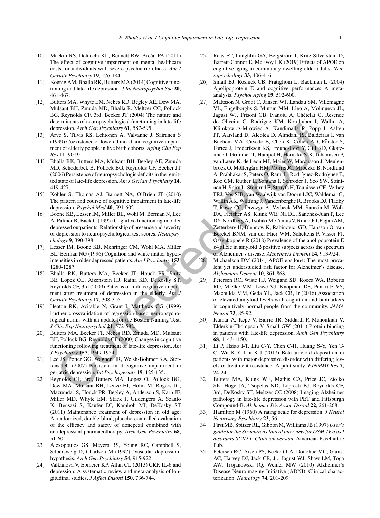- [10] Mackin RS, Delucchi KL, Bennett RW, Areán PA (2011) The effect of cognitive impairment on mental healthcare costs for individuals with severe psychiatric illness. *Am J Geriatr Psychiatry* **19**, 176-184.
- [11] Koenig AM, Bhalla RK, Butters MA (2014) Cognitive functioning and late-life depression. *J Int Neuropsychol Soc* **20**, 461-467.
- [12] Butters MA, Whyte EM, Nebes RD, Begley AE, Dew MA, Mulsant BH, Zmuda MD, Bhalla R, Meltzer CC, Pollock BG, Reynolds CF, 3rd, Becker JT (2004) The nature and determinants of neuropsychological functioning in late-life depression. *Arch Gen Psychiatry* **61**, 587-595.
- [13] Arve S, Tilvis RS, Lehtonen A, Valvanne J, Sairanen S (1999) Coexistence of lowered mood and cognitive impairment of elderly people in five birth cohorts. *Aging Clin Exp Res* **11**, 90-95.
- [14] Bhalla RK, Butters MA, Mulsant BH, Begley AE, Zmuda MD, Schoderbek B, Pollock BG, Reynolds CF, Becker JT (2006) Persistence of neuropsychologic deficits in the remitted state of late-life depression. *Am J Geriatr Psychiatry* **14**, 419-427.
- [15] Köhler S, Thomas AJ, Barnett NA, O'Brien JT (2010) The pattern and course of cognitive impairment in late-life depression. *Psychol Med* **40**, 591-602.
- [16] Boone KB, Lesser IM, Miller BL, Wohl M, Berman N, Lee A, Palmer B, Back C (1995) Cognitive functioning in older depressed outpatients: Relationship of presence and severity of depression to neuropsychological test scores. *Neuropsychology* **9**, 390-398.
- [17] Lesser IM, Boone KB, Mehringer CM, Wohl MA, Miller BL, Berman NG (1996) Cognition and white matter hyperintensities in older depressed patients. *Am J Psychiatry* **153**, 1280-1287.
- [18] Bhalla RK, Butters MA, Becker JT, Houck PR, Snitz BE, Lopez OL, Aizenstein HJ, Raina KD, DeKosky ST, Reynolds CF, 3rd (2009) Patterns of mild cognitive impairment after treatment of depression in the elderly. *Am J Geriatr Psychiatry* **17**, 308-316.
- [19] Heaton RK, Avitable N, Grant I, Matthews CG (1999) Further crossvalidation of regression-based neuropsychological norms with an update for the Boston Naming Test. *J Clin Exp Neuropsychol* **21**, 572-582.
- [20] Butters MA, Becker JT, Nebes RD, Zmuda MD, Mulsant BH, Pollock BG, Reynolds CF (2000) Changes in cognitive functioning following treatment of late-life depression. *Am J Psychiatry* **157**, 1949-1954.
- [21] Lee JS, Potter GG, Wagner HR, Welsh-Bohmer KA, Steffens DC (2007) Persistent mild cognitive impairment in geriatric depression. *Int Psychogeriatr* **19**, 125-135.
- [22] Reynolds CF, 3rd, Butters MA, Lopez O, Pollock BG, Dew MA, Mulsant BH, Lenze EJ, Holm M, Rogers JC, Mazumdar S, Houck PR, Begley A, Anderson S, Karp JF, Miller MD, Whyte EM, Stack J, Gildengers A, Szanto K, Bensasi S, Kaufer DI, Kamboh MI, DeKosky ST (2011) Maintenance treatment of depression in old age: A randomized, double-blind, placebo-controlled evaluation of the efficacy and safety of donepezil combined with antidepressant pharmacotherapy. *Arch Gen Psychiatry* **68**, 51-60.
- [23] Alexopoulos GS, Meyers BS, Young RC, Campbell S, Silbersweig D, Charlson M (1997) 'Vascular depression' hypothesis. *Arch Gen Psychiatry* **54**, 915-922.
- [24] Valkanova V, Ebmeier KP, Allan CL (2013) CRP, IL-6 and depression: A systematic review and meta-analysis of longitudinal studies. *J Affect Disord* **150**, 736-744.
- [25] Reas ET, Laughlin GA, Bergstrom J, Kritz-Silverstein D, Barrett-Connor E, McEvoy LK (2019) Effects of APOE on cognitive aging in community-dwelling older adults. *Neuropsychology* **33**, 406-416.
- [26] Small BJ, Rosnick CB, Fratiglioni L, Bäckman L (2004) Apolipoprotein E and cognitive performance: A metaanalysis. *Psychol Aging* **19**, 592-600.
- [27] Mattsson N, Groot C, Jansen WJ, Landau SM, Villemagne VL, Engelborghs S, Mintun MM, Lleo A, Molinuevo JL, Jagust WJ, Frisoni GB, Ivanoiu A, Chetelat G, Resende ´ de Oliveira C, Rodrigue KM, Kornhuber J, Wallin A, Klimkowicz-Mrowiec A, Kandimalla R, Popp J, Aalten PP, Aarsland D, Alcolea D, Almdahl IS, Baldeiras I, van Buchem MA, Cavedo E, Chen K, Cohen AD, Förster S, Fortea J, Frederiksen KS, Freund-Levi Y, Gill KD, Gkatzima O, Grimmer T, Hampel H, Herukka S-K, Johannsen P, van Laere K, de Leon MJ, Maier W, Marcusson J, Meulenbroek O, Møllergård HM, Morris JC, Mroczko B, Nordlund A, Prabhakar S, Peters O, Rami L, Rodríguez-Rodríguez E, Roe CM, Rüther E, Santana I, Schröder J, Seo SW, Soininen H, Spiru L, Stomrud E, Struyfs H, Teunissen CE, Verhey FRJ, Vos SJB, van Waalwijk van Doorn LJC, Waldemar G, Wallin ÅK, Wiltfang J, Vandenberghe R, Brooks DJ, Fladby T, Rowe CC, Drzezga A, Verbeek MM, Sarazin M, Wolk DA, Fleisher AS, Klunk WE, Na DL, Sánchez-Juan P, Lee DY, Nordberg A, Tsolaki M, Camus V, Rinne JO, Fagan AM, Zetterberg H, Blennow K, Rabinovici GD, Hansson O, van Berckel BNM, van der Flier WM, Scheltens P, Visser PJ, Ossenkoppele R (2018) Prevalence of the apolipoprotein E  $\varepsilon$ 4 allele in amyloid  $\beta$  positive subjects across the spectrum of Alzheimer's disease. *Alzheimers Dement* **14**, 913-924. ermaining in Rectification (and the correspondent in the same of the correct of the same of the correct of the correct of the correct of the correct of the correct of the correct of the correct of the correct of the corre
	- [28] Michaelson DM (2014) APOE epsilon4: The most prevalent yet understudied risk factor for Alzheimer's disease. *Alzheimers Dement* **10**, 861-868.
	- [29] Petersen RC, Wiste HJ, Weigand SD, Rocca WA, Roberts RO, Mielke MM, Lowe VJ, Knopman DS, Pankratz VS, Machulda MM, Geda YE, Jack CR, Jr (2016) Association of elevated amyloid levels with cognition and biomarkers in cognitively normal people from the community. *JAMA Neurol* **73**, 85-92.
	- [30] Kumar A, Kepe V, Barrio JR, Siddarth P, Manoukian V, Elderkin-Thompson V, Small GW (2011) Protein binding in patients with late-life depression. *Arch Gen Psychiatry* **68**, 1143-1150.
	- [31] Li P, Hsiao I-T, Liu C-Y, Chen C-H, Huang S-Y, Yen T-C, Wu K-Y, Lin K-J (2017) Beta-amyloid deposition in patients with major depressive disorder with differing levels of treatment resistance: A pilot study. *EJNMMI Res* **7**, 24-24.
	- [32] Butters MA, Klunk WE, Mathis CA, Price JC, Ziolko SK, Hoge JA, Tsopelas ND, Lopresti BJ, Reynolds CF, 3rd, DeKosky ST, Meltzer CC (2008) Imaging Alzheimer pathology in late-life depression with PET and Pittsburgh Compound-B. *Alzheimer Dis Assoc Disord* **22**, 261-268.
	- [33] Hamilton M (1960) A rating scale for depression. *J Neurol Neurosurg Psychiatry* **23**, 56.
	- [34] First MB, Spitzer RL, Gibbon M, Williams JB (1997) *User's guide for the Structured clinical interview for DSM-IV axis I disorders SCID-I: Clinician version*, American Psychiatric Pub.
	- [35] Petersen RC, Aisen PS, Beckett LA, Donohue MC, Gamst AC, Harvey DJ, Jack CR, Jr., Jagust WJ, Shaw LM, Toga AW, Trojanowski JQ, Weiner MW (2010) Alzheimer's Disease Neuroimaging Initiative (ADNI): Clinical characterization. *Neurology* **74**, 201-209.